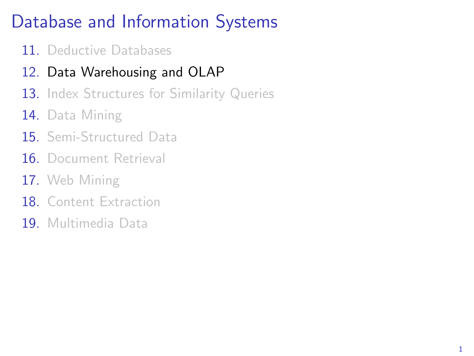# Database and Information Systems

- 11. Deductive Databases
- 12. Data Warehousing and OLAP
- 13. Index Structures for Similarity Queries
- 14. Data Mining
- 15. Semi-Structured Data
- 16 Document Retrieval
- 17. Web Mining
- 18 Content Extraction
- 19. Multimedia Data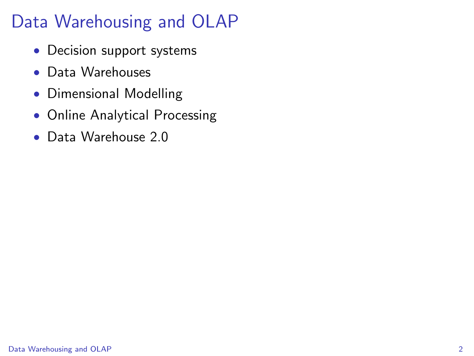- Decision support systems
- Data Warehouses
- Dimensional Modelling
- Online Analytical Processing
- <span id="page-1-0"></span>• Data Warehouse 2.0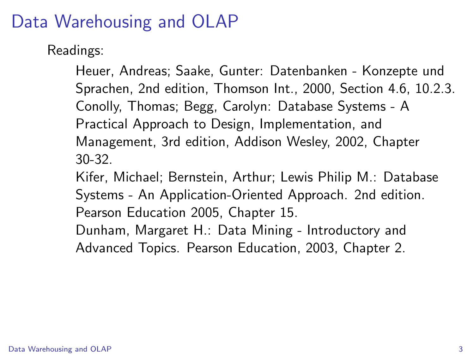Readings:

Heuer, Andreas; Saake, Gunter: Datenbanken - Konzepte und Sprachen, 2nd edition, Thomson Int., 2000, Section 4.6, 10.2.3. Conolly, Thomas; Begg, Carolyn: Database Systems - A Practical Approach to Design, Implementation, and Management, 3rd edition, Addison Wesley, 2002, Chapter 30-32.

Kifer, Michael; Bernstein, Arthur; Lewis Philip M.: Database Systems - An Application-Oriented Approach. 2nd edition. Pearson Education 2005, Chapter 15.

Dunham, Margaret H.: Data Mining - Introductory and Advanced Topics. Pearson Education, 2003, Chapter 2.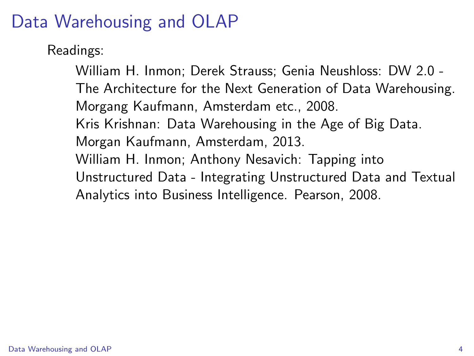Readings:

William H. Inmon; Derek Strauss; Genia Neushloss: DW 2.0 - The Architecture for the Next Generation of Data Warehousing. Morgang Kaufmann, Amsterdam etc., 2008. Kris Krishnan: Data Warehousing in the Age of Big Data. Morgan Kaufmann, Amsterdam, 2013. William H. Inmon; Anthony Nesavich: Tapping into Unstructured Data - Integrating Unstructured Data and Textual Analytics into Business Intelligence. Pearson, 2008.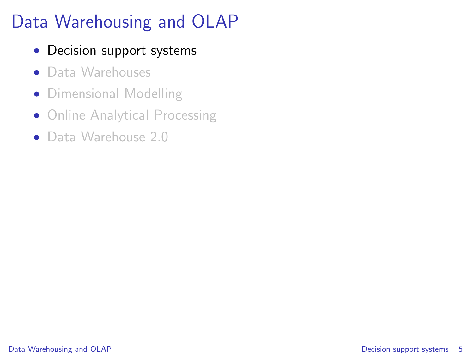- Decision support systems
- Data Warehouses
- Dimensional Modelling
- Online Analytical Processing
- <span id="page-4-0"></span>• Data Warehouse 2.0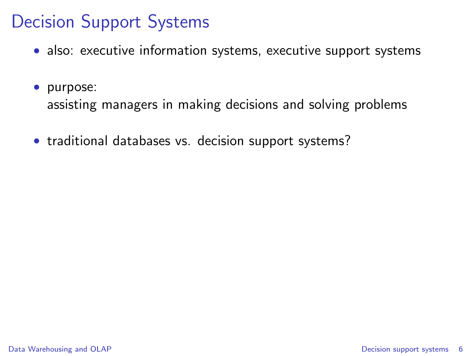# Decision Support Systems

- also: executive information systems, executive support systems
- purpose:

assisting managers in making decisions and solving problems

• traditional databases vs. decision support systems?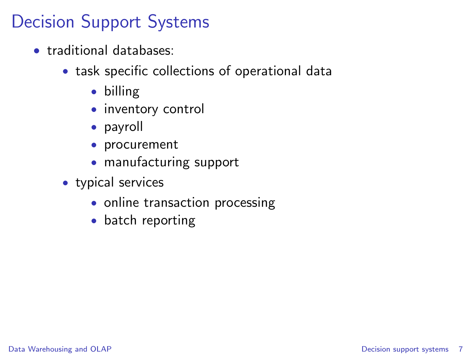# Decision Support Systems

- traditional databases:
	- task specific collections of operational data
		- billing
		- inventory control
		- payroll
		- procurement
		- manufacturing support
	- typical services
		- online transaction processing
		- batch reporting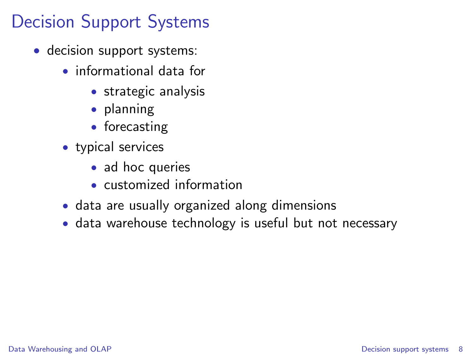# Decision Support Systems

- decision support systems:
	- informational data for
		- strategic analysis
		- planning
		- forecasting
	- typical services
		- ad hoc queries
		- customized information
	- data are usually organized along dimensions
	- data warehouse technology is useful but not necessary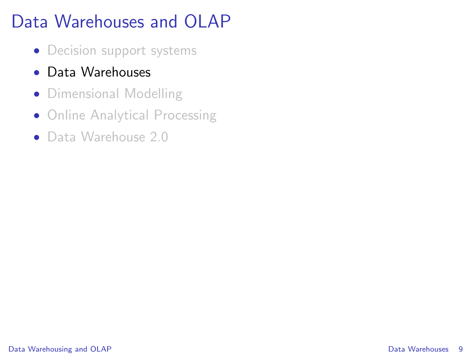# Data Warehouses and OLAP

- Decision support systems
- Data Warehouses
- Dimensional Modelling
- Online Analytical Processing
- <span id="page-8-0"></span>• Data Warehouse 2.0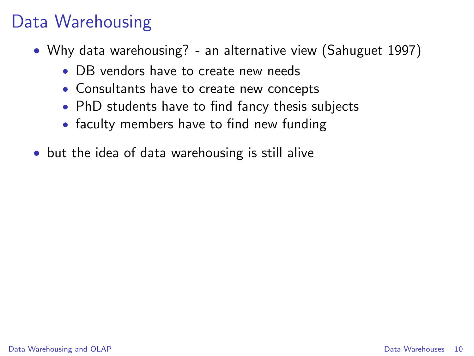# Data Warehousing

- Why data warehousing? an alternative view (Sahuguet 1997)
	- DB vendors have to create new needs
	- Consultants have to create new concepts
	- PhD students have to find fancy thesis subjects
	- faculty members have to find new funding
- but the idea of data warehousing is still alive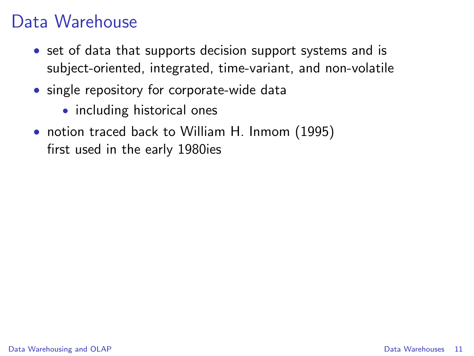## Data Warehouse

- set of data that supports decision support systems and is subject-oriented, integrated, time-variant, and non-volatile
- single repository for corporate-wide data
	- including historical ones
- notion traced back to William H. Inmom (1995) first used in the early 1980ies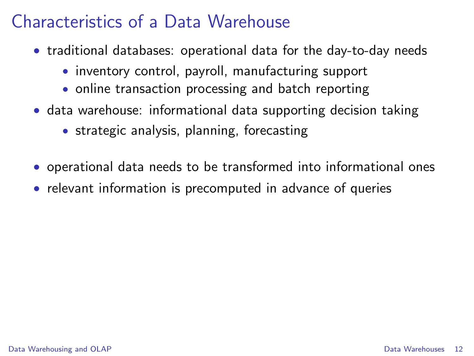## Characteristics of a Data Warehouse

- traditional databases: operational data for the day-to-day needs
	- inventory control, payroll, manufacturing support
	- online transaction processing and batch reporting
- data warehouse: informational data supporting decision taking
	- strategic analysis, planning, forecasting
- operational data needs to be transformed into informational ones
- relevant information is precomputed in advance of queries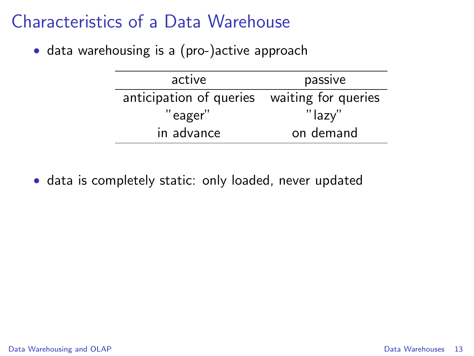## Characteristics of a Data Warehouse

• data warehousing is a (pro-)active approach

| active                                      | passive   |  |
|---------------------------------------------|-----------|--|
| anticipation of queries waiting for queries |           |  |
| "eager"                                     | "lazy"    |  |
| in advance                                  | on demand |  |

• data is completely static: only loaded, never updated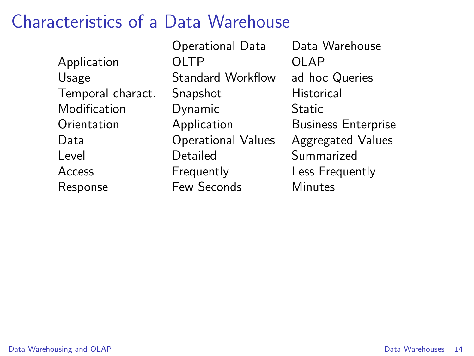### Characteristics of a Data Warehouse

|                   | Operational Data          | Data Warehouse             |
|-------------------|---------------------------|----------------------------|
| Application       | OLTP                      | OLAP                       |
| Usage             | <b>Standard Workflow</b>  | ad hoc Queries             |
| Temporal charact. | Snapshot                  | <b>Historical</b>          |
| Modification      | Dynamic                   | Static                     |
| Orientation       | Application               | <b>Business Enterprise</b> |
| Data              | <b>Operational Values</b> | <b>Aggregated Values</b>   |
| Level             | Detailed                  | Summarized                 |
| Access            | Frequently                | Less Frequently            |
| Response          | Few Seconds               | Minutes                    |
|                   |                           |                            |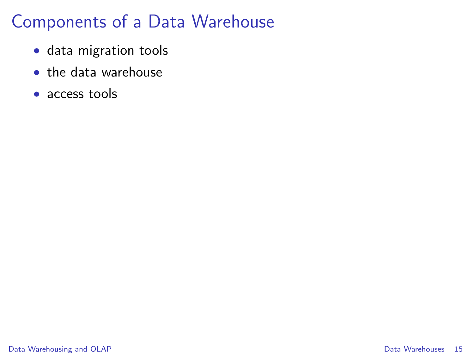## Components of a Data Warehouse

- data migration tools
- the data warehouse
- access tools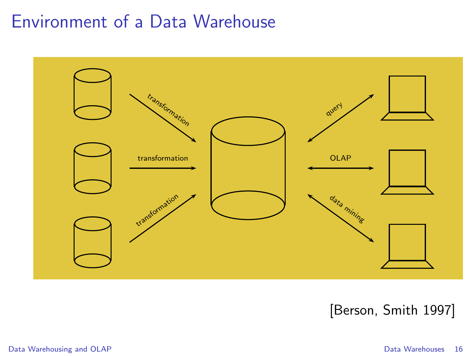#### Environment of a Data Warehouse



#### [Berson, Smith 1997]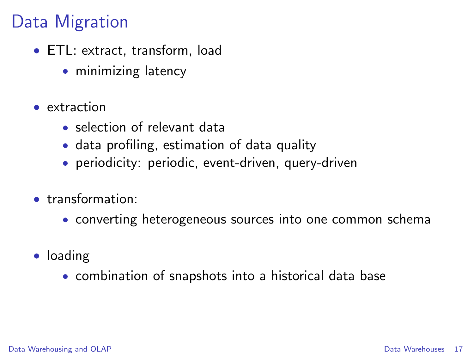## Data Migration

- ETL: extract, transform, load
	- minimizing latency
- extraction
	- selection of relevant data
	- data profiling, estimation of data quality
	- periodicity: periodic, event-driven, query-driven
- transformation:
	- converting heterogeneous sources into one common schema
- loading
	- combination of snapshots into a historical data base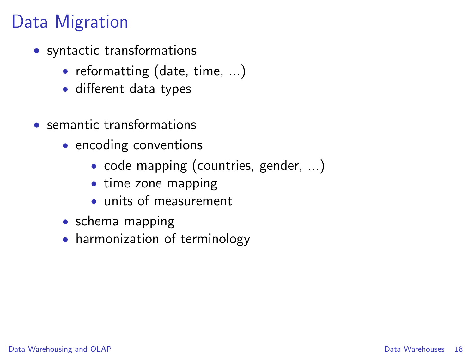# Data Migration

- syntactic transformations
	- reformatting (date, time, ...)
	- different data types
- semantic transformations
	- encoding conventions
		- code mapping (countries, gender, ...)
		- time zone mapping
		- units of measurement
	- schema mapping
	- harmonization of terminology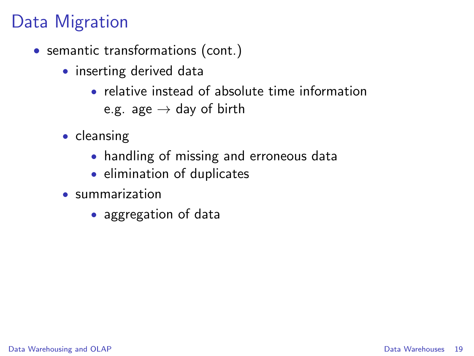# Data Migration

- semantic transformations (cont.)
	- inserting derived data
		- relative instead of absolute time information e.g. age  $\rightarrow$  day of birth
	- cleansing
		- handling of missing and erroneous data
		- elimination of duplicates
	- summarization
		- aggregation of data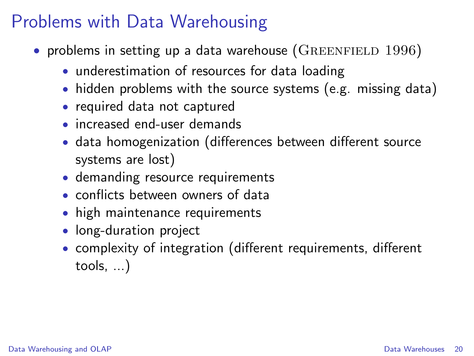#### Problems with Data Warehousing

- problems in setting up a data warehouse ( $GREENFIED 1996$ )
	- underestimation of resources for data loading
	- hidden problems with the source systems (e.g. missing data)
	- required data not captured
	- increased end-user demands
	- data homogenization (differences between different source systems are lost)
	- demanding resource requirements
	- conflicts between owners of data
	- high maintenance requirements
	- long-duration project
	- complexity of integration (different requirements, different tools, ...)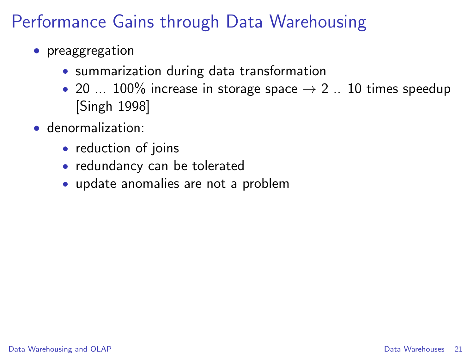# Performance Gains through Data Warehousing

- preaggregation
	- summarization during data transformation
	- 20 ... 100% increase in storage space  $\rightarrow$  2 .. 10 times speedup [Singh 1998]
- denormalization:
	- reduction of joins
	- redundancy can be tolerated
	- update anomalies are not a problem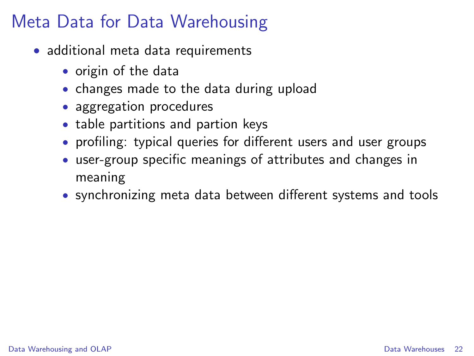## Meta Data for Data Warehousing

- additional meta data requirements
	- origin of the data
	- changes made to the data during upload
	- aggregation procedures
	- table partitions and partion keys
	- profiling: typical queries for different users and user groups
	- user-group specific meanings of attributes and changes in meaning
	- synchronizing meta data between different systems and tools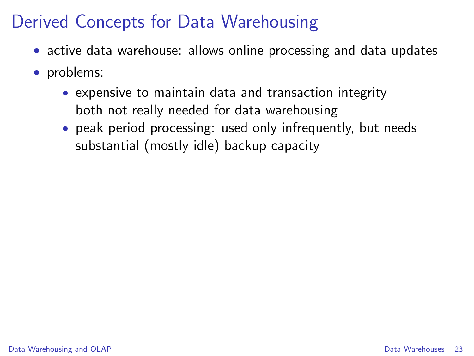- active data warehouse: allows online processing and data updates
- problems:
	- expensive to maintain data and transaction integrity both not really needed for data warehousing
	- peak period processing: used only infrequently, but needs substantial (mostly idle) backup capacity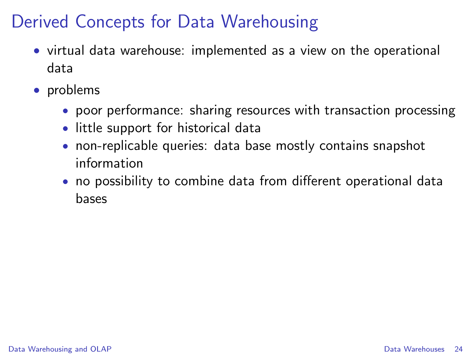- virtual data warehouse: implemented as a view on the operational data
- problems
	- poor performance: sharing resources with transaction processing
	- little support for historical data
	- non-replicable queries: data base mostly contains snapshot information
	- no possibility to combine data from different operational data bases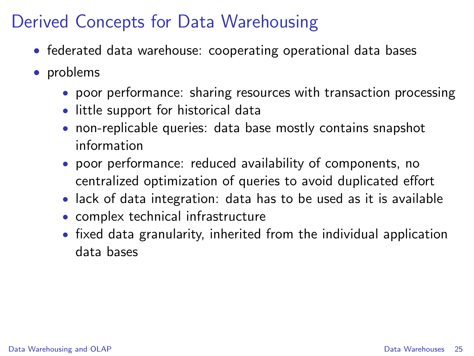- federated data warehouse: cooperating operational data bases
- problems
	- poor performance: sharing resources with transaction processing
	- little support for historical data
	- non-replicable queries: data base mostly contains snapshot information
	- poor performance: reduced availability of components, no centralized optimization of queries to avoid duplicated effort
	- lack of data integration: data has to be used as it is available
	- complex technical infrastructure
	- fixed data granularity, inherited from the individual application data bases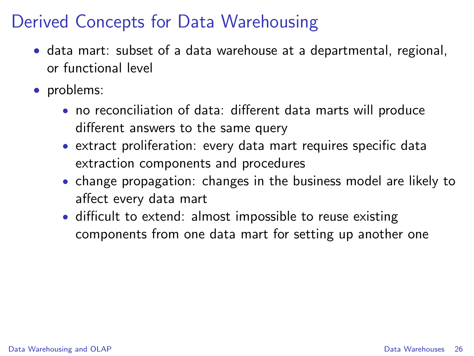- data mart: subset of a data warehouse at a departmental, regional, or functional level
- problems:
	- no reconciliation of data: different data marts will produce different answers to the same query
	- extract proliferation: every data mart requires specific data extraction components and procedures
	- change propagation: changes in the business model are likely to affect every data mart
	- difficult to extend: almost impossible to reuse existing components from one data mart for setting up another one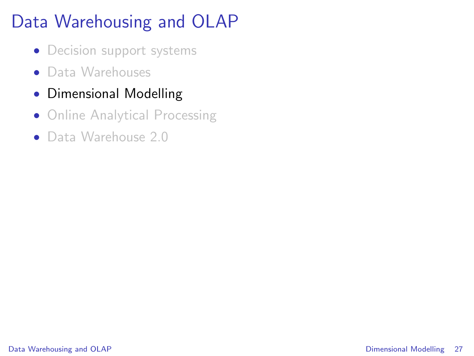- Decision support systems
- Data Warehouses
- Dimensional Modelling
- Online Analytical Processing
- <span id="page-26-0"></span>• Data Warehouse 2.0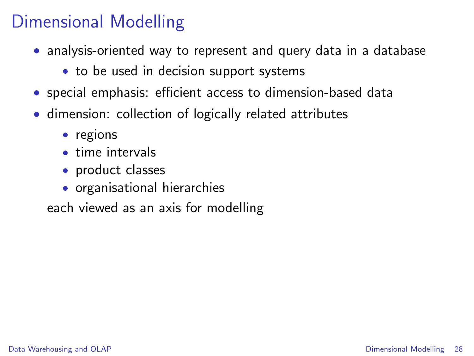- analysis-oriented way to represent and query data in a database
	- to be used in decision support systems
- special emphasis: efficient access to dimension-based data
- dimension: collection of logically related attributes
	- regions
	- time intervals
	- product classes
	- organisational hierarchies

each viewed as an axis for modelling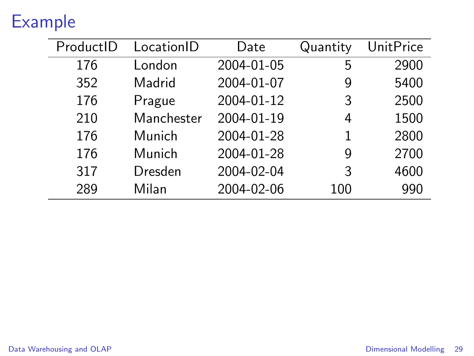# Example

| ProductID | LocationID | Date       | Quantity | <b>UnitPrice</b> |
|-----------|------------|------------|----------|------------------|
| 176       | London     | 2004-01-05 | 5        | 2900             |
| 352       | Madrid     | 2004-01-07 | 9        | 5400             |
| 176       | Prague     | 2004-01-12 | 3        | 2500             |
| 210       | Manchester | 2004-01-19 | 4        | 1500             |
| 176       | Munich     | 2004-01-28 | 1        | 2800             |
| 176       | Munich     | 2004-01-28 | 9        | 2700             |
| 317       | Dresden    | 2004-02-04 | 3        | 4600             |
| 289       | Milan      | 2004-02-06 | 100      | 990              |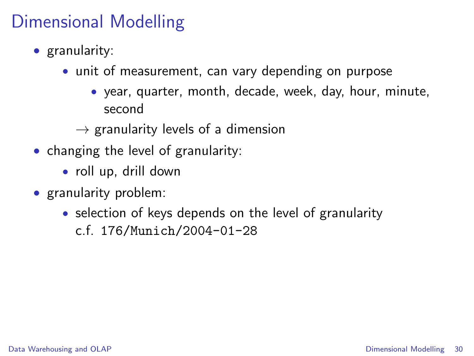- granularity:
	- unit of measurement, can vary depending on purpose
		- year, quarter, month, decade, week, day, hour, minute, second
		- $\rightarrow$  granularity levels of a dimension
- changing the level of granularity:
	- roll up, drill down
- granularity problem:
	- selection of keys depends on the level of granularity c.f. 176/Munich/2004-01-28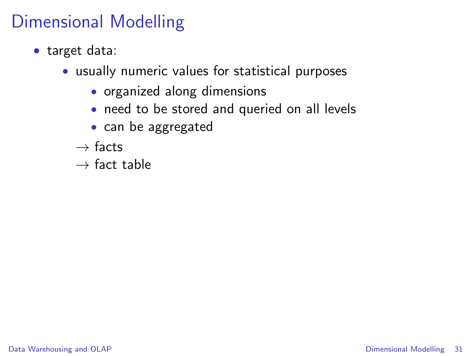- target data:
	- usually numeric values for statistical purposes
		- organized along dimensions
		- need to be stored and queried on all levels
		- can be aggregated
		- $\rightarrow$  facts
		- $\rightarrow$  fact table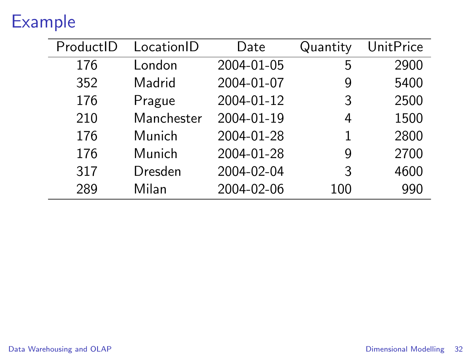# Example

| ProductID | LocationID | Date       | Quantity | <b>UnitPrice</b> |
|-----------|------------|------------|----------|------------------|
| 176       | London     | 2004-01-05 | 5        | 2900             |
| 352       | Madrid     | 2004-01-07 | 9        | 5400             |
| 176       | Prague     | 2004-01-12 | 3        | 2500             |
| 210       | Manchester | 2004-01-19 | 4        | 1500             |
| 176       | Munich     | 2004-01-28 | 1        | 2800             |
| 176       | Munich     | 2004-01-28 | 9        | 2700             |
| 317       | Dresden    | 2004-02-04 | 3        | 4600             |
| 289       | Milan      | 2004-02-06 | 100      | 990              |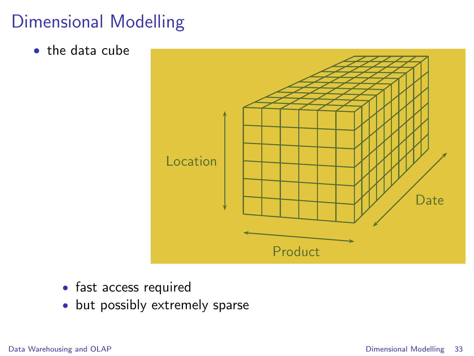• the data cube



- fast access required
- but possibly extremely sparse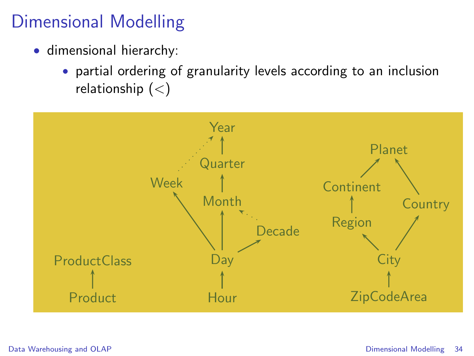- dimensional hierarchy:
	- partial ordering of granularity levels according to an inclusion relationship  $(<)$

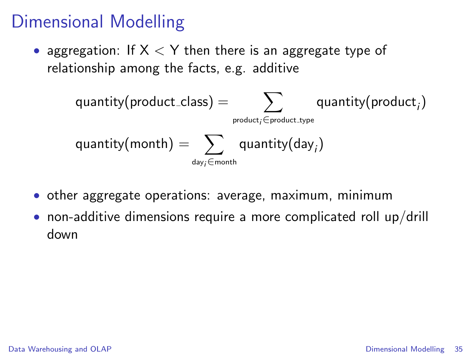• aggregation: If  $X < Y$  then there is an aggregate type of relationship among the facts, e.g. additive

$$
\begin{aligned} \text{quantity}(\text{product}\_\text{class}) &= \sum_{\text{product} \in \text{product}\_\text{type}} \text{quantity}(\text{product}_i) \\ \text{quantity}(\text{month}) &= \sum_{\text{day}_i \in \text{month}} \text{quantity}(\text{day}_i) \end{aligned}
$$

- other aggregate operations: average, maximum, minimum
- non-additive dimensions require a more complicated roll up/drill down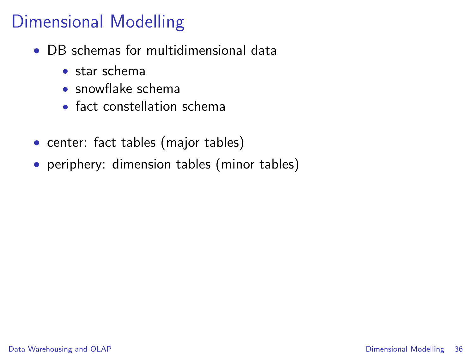- DB schemas for multidimensional data
	- star schema
	- snowflake schema
	- fact constellation schema
- center: fact tables (major tables)
- periphery: dimension tables (minor tables)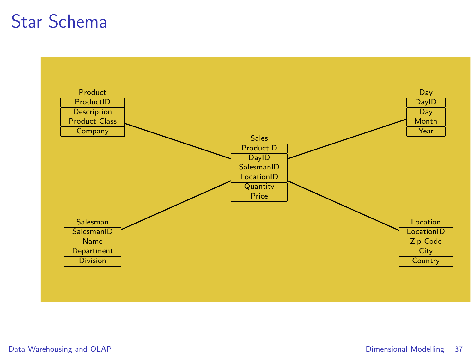#### Star Schema

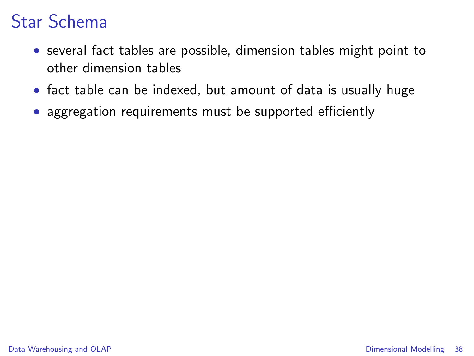## Star Schema

- several fact tables are possible, dimension tables might point to other dimension tables
- fact table can be indexed, but amount of data is usually huge
- aggregation requirements must be supported efficiently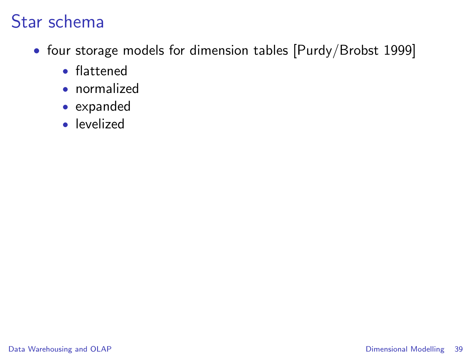## Star schema

- four storage models for dimension tables [Purdy/Brobst 1999]
	- flattened
	- normalized
	- expanded
	- levelized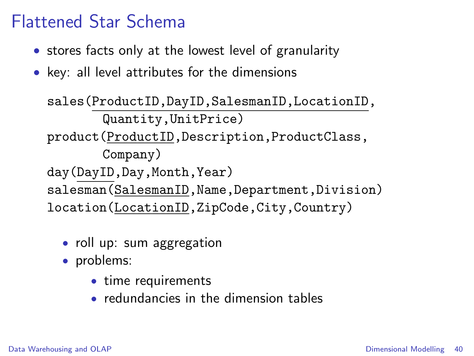#### Flattened Star Schema

- stores facts only at the lowest level of granularity
- key: all level attributes for the dimensions

sales(ProductID,DayID,SalesmanID,LocationID, Quantity,UnitPrice) product(ProductID,Description,ProductClass, Company) day(DayID,Day,Month,Year) salesman(SalesmanID,Name,Department,Division) location(LocationID,ZipCode,City,Country)

- roll up: sum aggregation
- problems:
	- time requirements
	- redundancies in the dimension tables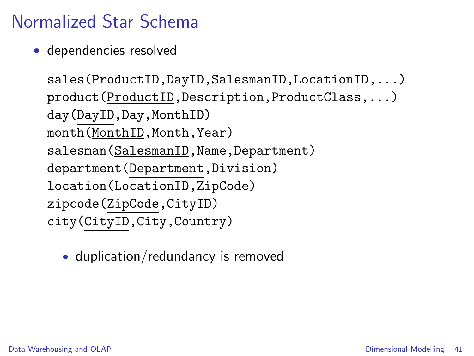# Normalized Star Schema

• dependencies resolved

```
sales(ProductID,DayID,SalesmanID,LocationID,...)
product(ProductID,Description,ProductClass,...)
day(DayID,Day,MonthID)
month(MonthID,Month,Year)
salesman(SalesmanID, Name, Department)
department(Department,Division)
location(LocationID,ZipCode)
zipcode(ZipCode,CityID)
city(CityID,City,Country)
```
• duplication/redundancy is removed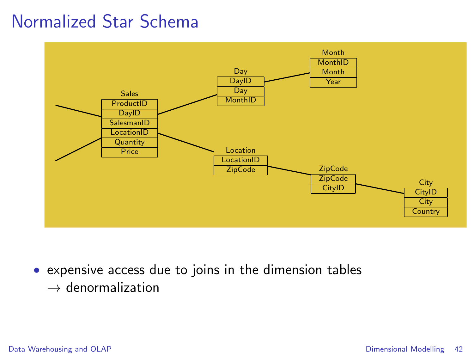#### Normalized Star Schema



• expensive access due to joins in the dimension tables  $\rightarrow$  denormalization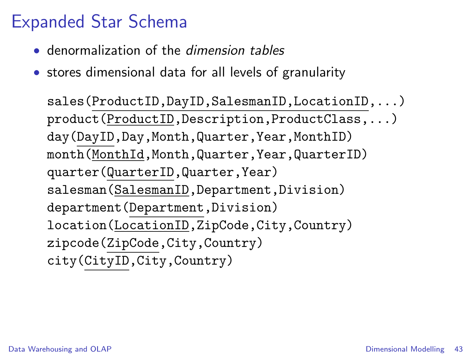## Expanded Star Schema

- denormalization of the *dimension tables*
- stores dimensional data for all levels of granularity

sales(ProductID,DayID,SalesmanID,LocationID,...) product(ProductID,Description,ProductClass,...) day(DayID,Day,Month,Quarter,Year,MonthID) month(MonthId,Month,Quarter,Year,QuarterID) quarter(QuarterID,Quarter,Year) salesman(SalesmanID,Department,Division) department(Department,Division) location(LocationID,ZipCode,City,Country) zipcode(ZipCode,City,Country) city(CityID,City,Country)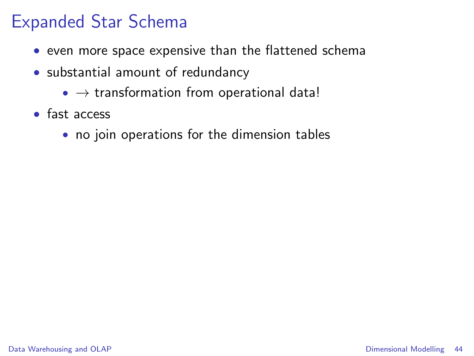#### Expanded Star Schema

- even more space expensive than the flattened schema
- substantial amount of redundancy
	- $\bullet \rightarrow$  transformation from operational data!
- fast access
	- no join operations for the dimension tables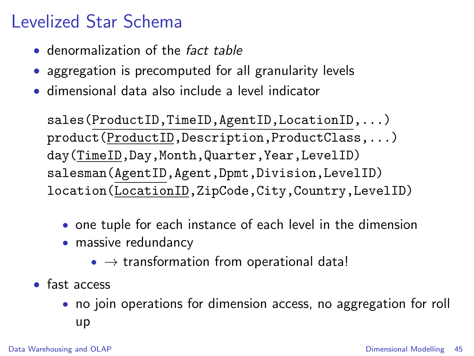## Levelized Star Schema

- denormalization of the *fact table*
- aggregation is precomputed for all granularity levels
- dimensional data also include a level indicator

sales(ProductID,TimeID,AgentID,LocationID,...) product(ProductID,Description,ProductClass,...) day(TimeID,Day,Month,Quarter,Year,LevelID) salesman(AgentID,Agent,Dpmt,Division,LevelID) location(LocationID,ZipCode,City,Country,LevelID)

- one tuple for each instance of each level in the dimension
- massive redundancy
	- $\bullet \rightarrow$  transformation from operational data!
- fast access
	- no join operations for dimension access, no aggregation for roll up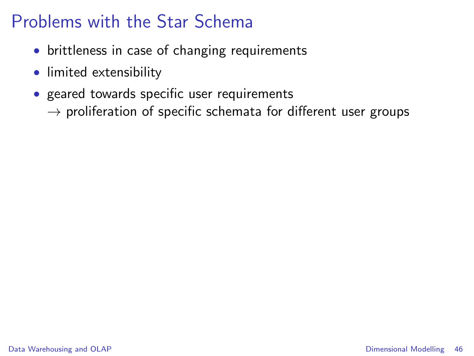## Problems with the Star Schema

- brittleness in case of changing requirements
- limited extensibility
- geared towards specific user requirements
	- $\rightarrow$  proliferation of specific schemata for different user groups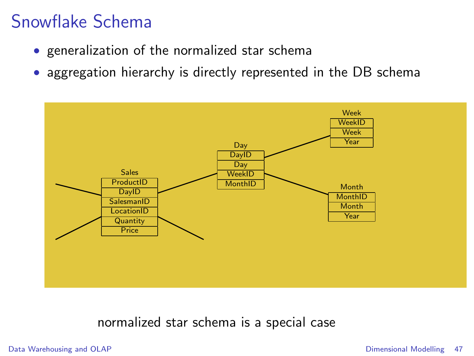#### Snowflake Schema

- generalization of the normalized star schema
- aggregation hierarchy is directly represented in the DB schema



#### normalized star schema is a special case

[Data Warehousing and OLAP](#page-1-0) **[Dimensional Modelling](#page-26-0) 47**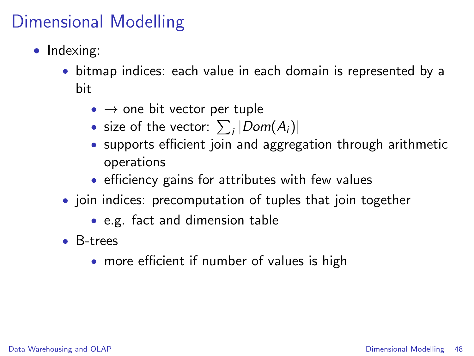## Dimensional Modelling

- Indexing:
	- bitmap indices: each value in each domain is represented by a bit
		- $\bullet \rightarrow$  one bit vector per tuple
		- size of the vector:  $\sum_i |Dom(A_i)|$
		- supports efficient join and aggregation through arithmetic operations
		- efficiency gains for attributes with few values
	- join indices: precomputation of tuples that join together
		- e.g. fact and dimension table
	- B-trees
		- more efficient if number of values is high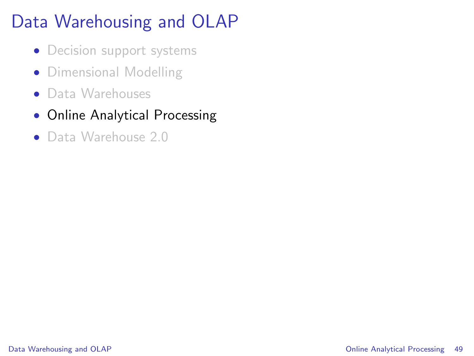# Data Warehousing and OLAP

- Decision support systems
- Dimensional Modelling
- Data Warehouses
- Online Analytical Processing
- <span id="page-48-0"></span>• Data Warehouse 2.0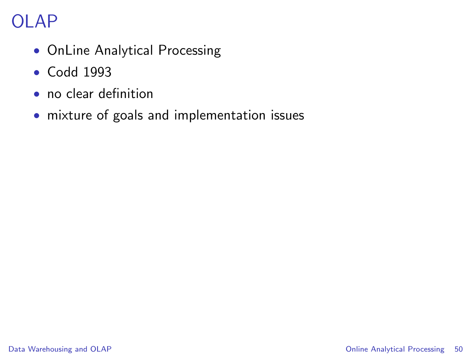# OLAP

- OnLine Analytical Processing
- Codd 1993
- no clear definition
- mixture of goals and implementation issues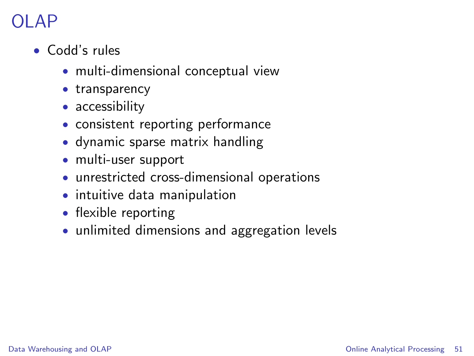# )I AP

- Codd's rules
	- multi-dimensional conceptual view
	- transparency
	- accessibility
	- consistent reporting performance
	- dynamic sparse matrix handling
	- multi-user support
	- unrestricted cross-dimensional operations
	- intuitive data manipulation
	- flexible reporting
	- unlimited dimensions and aggregation levels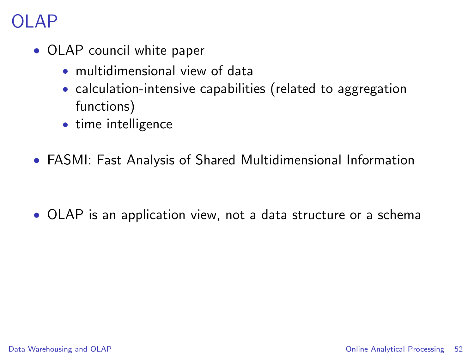## OLAP

- OLAP council white paper
	- multidimensional view of data
	- calculation-intensive capabilities (related to aggregation functions)
	- time intelligence
- FASMI: Fast Analysis of Shared Multidimensional Information

• OLAP is an application view, not a data structure or a schema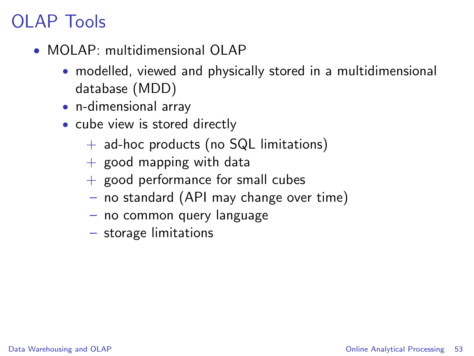## OLAP Tools

- MOLAP: multidimensional OLAP
	- modelled, viewed and physically stored in a multidimensional database (MDD)
	- n-dimensional array
	- cube view is stored directly
		- $+$  ad-hoc products (no SQL limitations)
		- $+$  good mapping with data
		- $+$  good performance for small cubes
		- no standard (API may change over time)
		- no common query language
		- storage limitations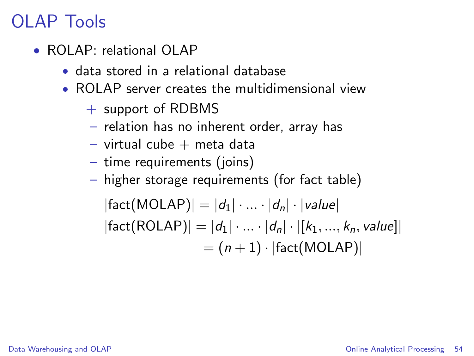## OLAP Tools

- ROLAP: relational OLAP
	- data stored in a relational database
	- ROLAP server creates the multidimensional view
		- $+$  support of RDBMS
		- relation has no inherent order, array has
		- $-$  virtual cube  $+$  meta data
		- time requirements (joins)
		- higher storage requirements (for fact table)

 $|\text{fact}(\text{MOLAP})| = |d_1| \cdot ... \cdot |d_n| \cdot |\text{value}|$  $|fact(ROLAP)| = |d_1| \cdot ... \cdot |d_n| \cdot |[k_1, ..., k_n, value]|$  $= (n + 1) \cdot |fact(MOLAP)|$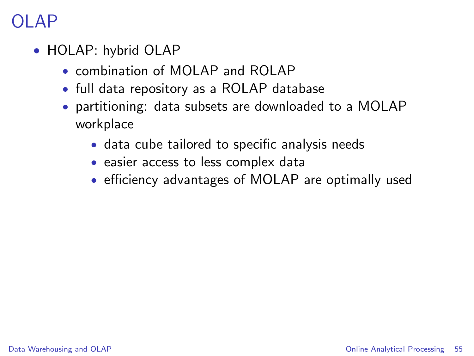## )I AP

- HOLAP: hybrid OLAP
	- combination of MOI AP and ROI AP
	- full data repository as a ROLAP database
	- partitioning: data subsets are downloaded to a MOLAP workplace
		- data cube tailored to specific analysis needs
		- easier access to less complex data
		- efficiency advantages of MOLAP are optimally used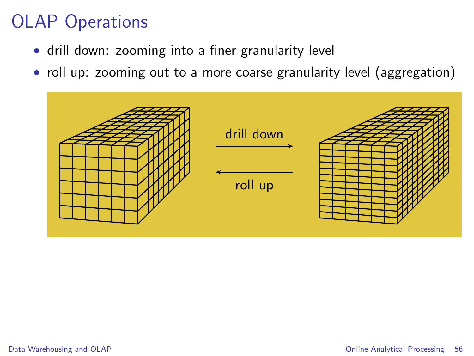- drill down: zooming into a finer granularity level
- roll up: zooming out to a more coarse granularity level (aggregation)

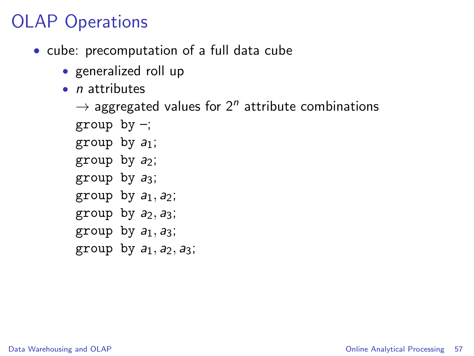- cube: precomputation of a full data cube
	- generalized roll up
	- $\bullet$  *n* attributes

```
\rightarrow aggregated values for 2<sup>n</sup> attribute combinations
group by -;
group by a_1;
group by a_2;
group by a_3;
group by a_1, a_2;
group by a_2, a_3;
group by a_1, a_3;
```
group by  $a_1$ ,  $a_2$ ,  $a_3$ ;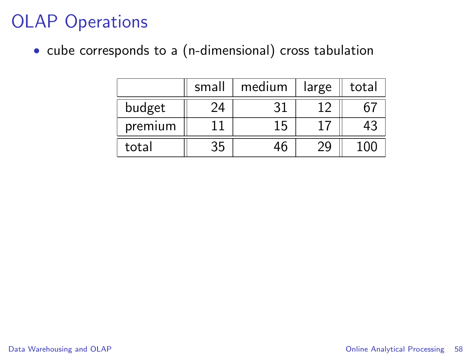• cube corresponds to a (n-dimensional) cross tabulation

|         | small | medium | large | total |
|---------|-------|--------|-------|-------|
| budget  | 24    |        |       |       |
| premium |       | 15     |       | 43    |
| total   | 35    | 46     |       |       |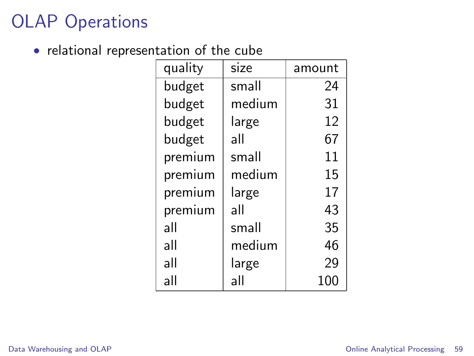• relational representation of the cube

| quality | size   | amount |
|---------|--------|--------|
| budget  | small  | 24     |
| budget  | medium | 31     |
| budget  | large  | 12     |
| budget  | all    | 67     |
| premium | small  | 11     |
| premium | medium | 15     |
| premium | large  | 17     |
| premium | all    | 43     |
| all     | small  | 35     |
| all     | medium | 46     |
| all     | large  | 29     |
| all     | all    | 100    |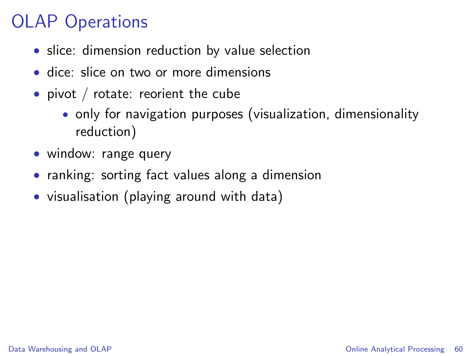- slice: dimension reduction by value selection
- dice: slice on two or more dimensions
- pivot / rotate: reorient the cube
	- only for navigation purposes (visualization, dimensionality reduction)
- window: range query
- ranking: sorting fact values along a dimension
- visualisation (playing around with data)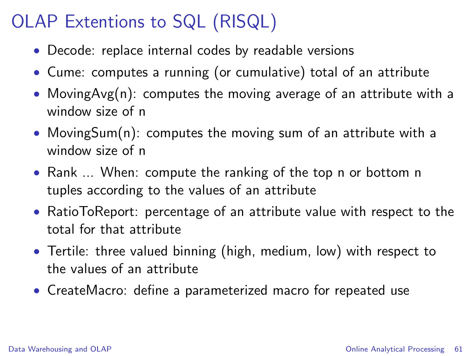# OLAP Extentions to SQL (RISQL)

- Decode: replace internal codes by readable versions
- Cume: computes a running (or cumulative) total of an attribute
- MovingAvg(n): computes the moving average of an attribute with a window size of n
- MovingSum(n): computes the moving sum of an attribute with a window size of n
- Rank ... When: compute the ranking of the top n or bottom n tuples according to the values of an attribute
- RatioToReport: percentage of an attribute value with respect to the total for that attribute
- Tertile: three valued binning (high, medium, low) with respect to the values of an attribute
- CreateMacro: define a parameterized macro for repeated use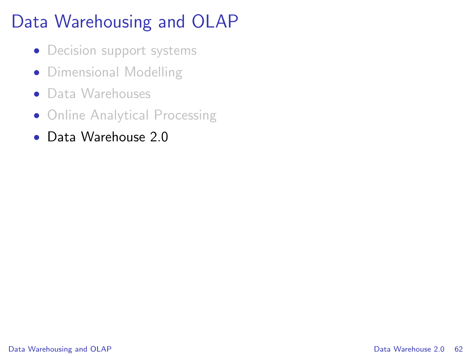# Data Warehousing and OLAP

- Decision support systems
- Dimensional Modelling
- Data Warehouses
- Online Analytical Processing
- <span id="page-61-0"></span>• Data Warehouse 2.0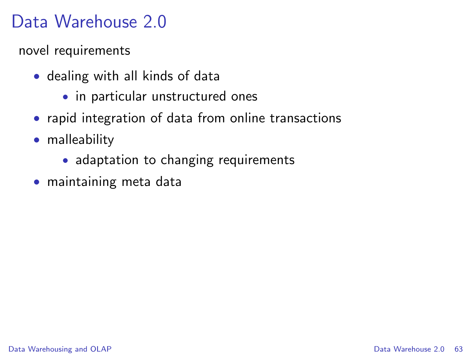## Data Warehouse 2.0

novel requirements

- dealing with all kinds of data
	- in particular unstructured ones
- rapid integration of data from online transactions
- malleability
	- adaptation to changing requirements
- maintaining meta data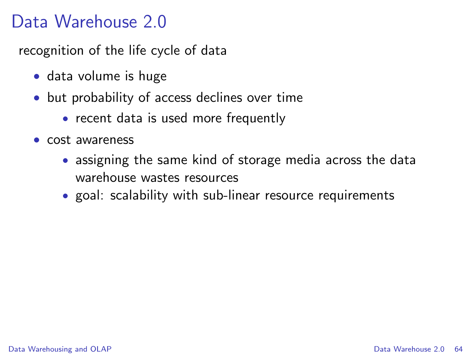#### Data Warehouse 2.0

recognition of the life cycle of data

- data volume is huge
- but probability of access declines over time
	- recent data is used more frequently
- cost awareness
	- assigning the same kind of storage media across the data warehouse wastes resources
	- goal: scalability with sub-linear resource requirements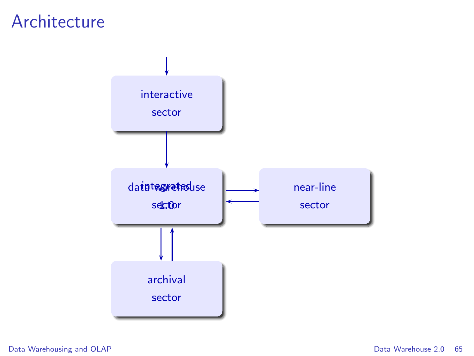#### Architecture



[Data Warehousing and OLAP](#page-1-0) **[Data Warehouse 2.0](#page-61-0)** 65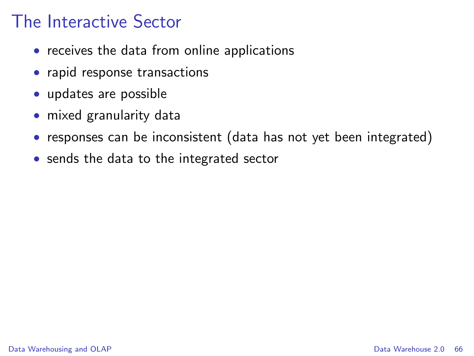#### The Interactive Sector

- receives the data from online applications
- rapid response transactions
- updates are possible
- mixed granularity data
- responses can be inconsistent (data has not yet been integrated)
- sends the data to the integrated sector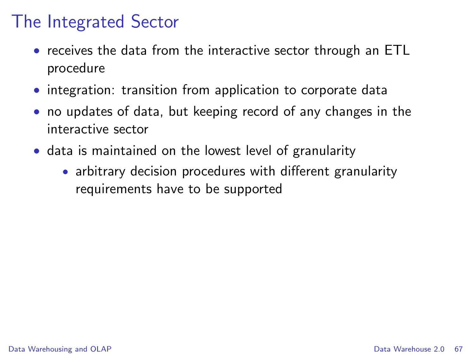#### The Integrated Sector

- receives the data from the interactive sector through an ETL procedure
- integration: transition from application to corporate data
- no updates of data, but keeping record of any changes in the interactive sector
- data is maintained on the lowest level of granularity
	- arbitrary decision procedures with different granularity requirements have to be supported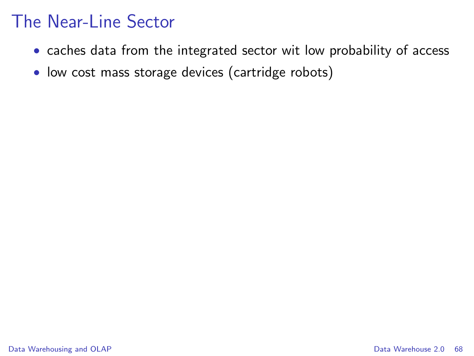#### The Near-Line Sector

- caches data from the integrated sector wit low probability of access
- low cost mass storage devices (cartridge robots)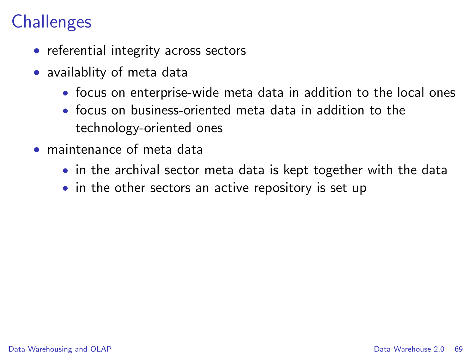## **Challenges**

- referential integrity across sectors
- availablity of meta data
	- focus on enterprise-wide meta data in addition to the local ones
	- focus on business-oriented meta data in addition to the technology-oriented ones
- maintenance of meta data
	- in the archival sector meta data is kept together with the data
	- in the other sectors an active repository is set up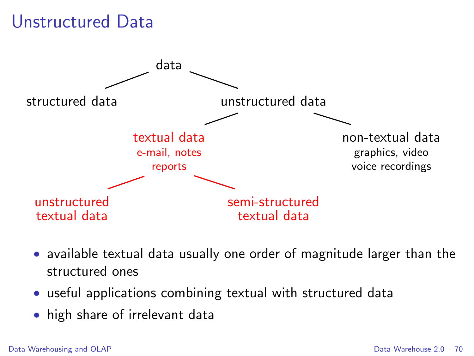#### Unstructured Data



- available textual data usually one order of magnitude larger than the structured ones
- useful applications combining textual with structured data
- high share of irrelevant data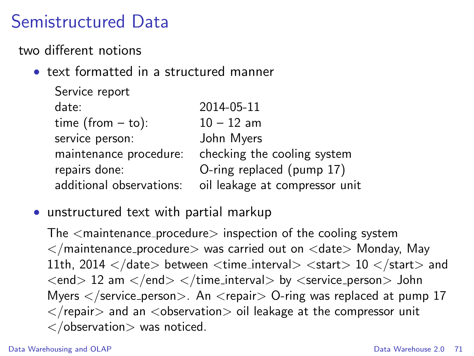#### Semistructured Data

two different notions

• text formatted in a structured manner

| 2014-05-11                     |
|--------------------------------|
| $10 - 12$ am                   |
| John Myers                     |
| checking the cooling system    |
| O-ring replaced (pump 17)      |
| oil leakage at compressor unit |
|                                |

• unstructured text with partial markup

The  $\leq$  maintenance procedure $\geq$  inspection of the cooling system  $\langle$  maintenance procedure $>$  was carried out on  $\langle$  date $>$  Monday, May 11th, 2014  $\langle$  date> between  $\langle$  time\_interval>  $\langle$  start> 10  $\langle$  /start> and  $\langle end \rangle$  12 am  $\langle end \rangle$   $\langle time_{\text{interval}} \rangle$  by  $\langle server \rangle$  person $>$  John Myers  $\langle$ /service\_person $\rangle$ . An  $\langle$ repair $\rangle$  O-ring was replaced at pump 17  $\langle$  repair > and an  $\langle$  observation > oil leakage at the compressor unit  $\langle$  observation $>$  was noticed.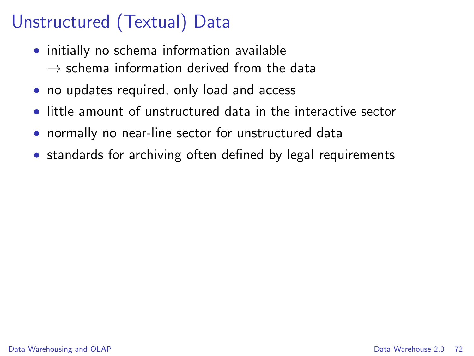# Unstructured (Textual) Data

- initially no schema information available  $\rightarrow$  schema information derived from the data
- no updates required, only load and access
- little amount of unstructured data in the interactive sector
- normally no near-line sector for unstructured data
- standards for archiving often defined by legal requirements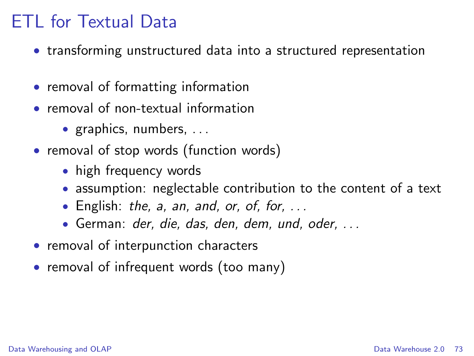- transforming unstructured data into a structured representation
- removal of formatting information
- removal of non-textual information
	- graphics, numbers, ...
- removal of stop words (function words)
	- high frequency words
	- assumption: neglectable contribution to the content of a text
	- English: the, a, an, and, or, of, for,  $\dots$
	- German: der, die, das, den, dem, und, oder, . . .
- removal of interpunction characters
- removal of infrequent words (too many)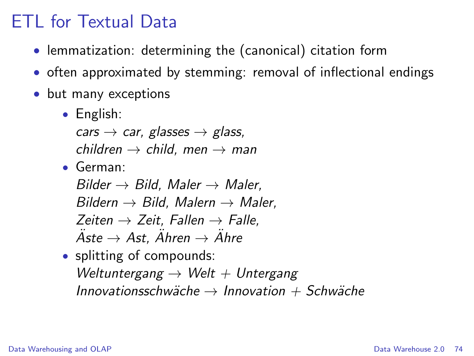- lemmatization: determining the (canonical) citation form
- often approximated by stemming: removal of inflectional endings
- but many exceptions
	- English:

cars  $\rightarrow$  car, glasses  $\rightarrow$  glass, children  $\rightarrow$  child, men  $\rightarrow$  man

• German:

Bilder  $\rightarrow$  Bild, Maler  $\rightarrow$  Maler, Bildern  $\rightarrow$  Bild, Malern  $\rightarrow$  Maler, Zeiten  $\rightarrow$  Zeit, Fallen  $\rightarrow$  Falle,  $\ddot{A}$ ste  $\rightarrow$  Ast,  $\ddot{A}$ hren  $\rightarrow$   $\ddot{A}$ hre

• splitting of compounds: Weltuntergang  $\rightarrow$  Welt  $+$  Untergang Innovationsschwäche  $\rightarrow$  Innovation + Schwäche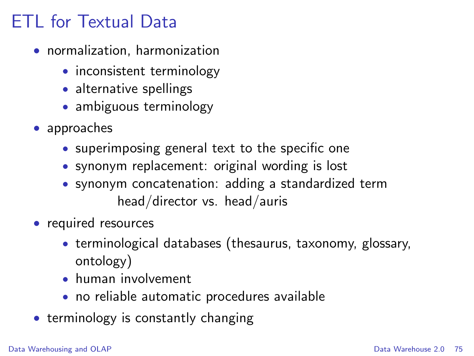- normalization, harmonization
	- inconsistent terminology
	- alternative spellings
	- ambiguous terminology
- approaches
	- superimposing general text to the specific one
	- synonym replacement: original wording is lost
	- synonym concatenation: adding a standardized term head/director vs. head/auris
- required resources
	- terminological databases (thesaurus, taxonomy, glossary, ontology)
	- human involvement
	- no reliable automatic procedures available
- terminology is constantly changing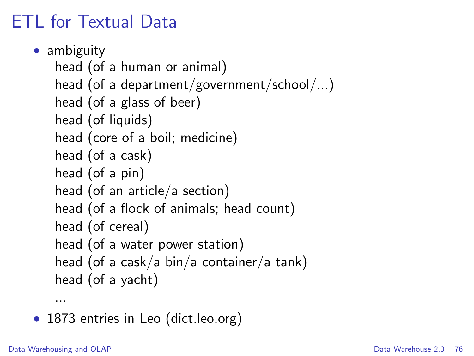```
• ambiguity
head (of a human or animal)
head (of a department/government/school/...)
head (of a glass of beer)
head (of liquids)
head (core of a boil; medicine)
head (of a cask)
head (of a pin)
head (of an article/a section)
head (of a flock of animals; head count)
head (of cereal)
head (of a water power station)
head (of a cask/a bin/a container/a tank)
head (of a yacht)
```
• 1873 entries in Leo (dict.leo.org)

...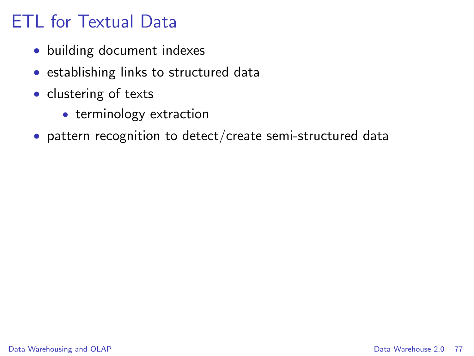- building document indexes
- establishing links to structured data
- clustering of texts
	- terminology extraction
- pattern recognition to detect/create semi-structured data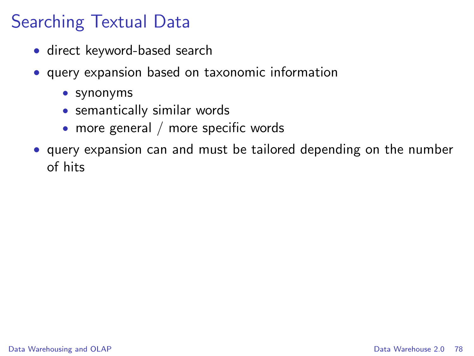## Searching Textual Data

- direct keyword-based search
- query expansion based on taxonomic information
	- synonyms
	- semantically similar words
	- more general / more specific words
- query expansion can and must be tailored depending on the number of hits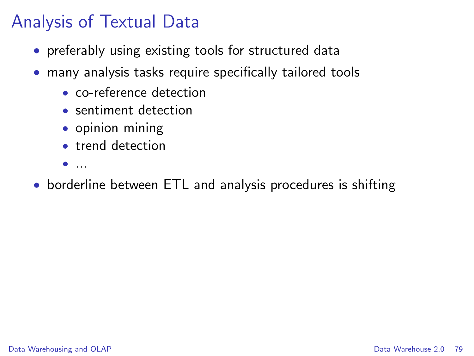## Analysis of Textual Data

- preferably using existing tools for structured data
- many analysis tasks require specifically tailored tools
	- co-reference detection
	- sentiment detection
	- opinion mining
	- trend detection
	- $\bullet$  ...
- borderline between ETL and analysis procedures is shifting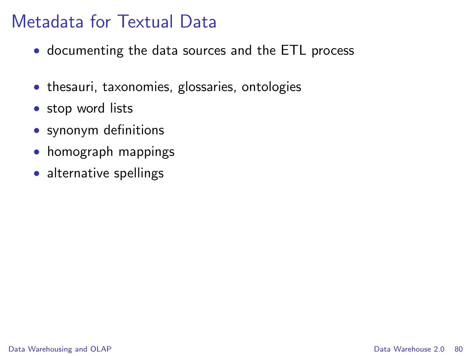#### Metadata for Textual Data

- documenting the data sources and the ETL process
- thesauri, taxonomies, glossaries, ontologies
- stop word lists
- synonym definitions
- homograph mappings
- alternative spellings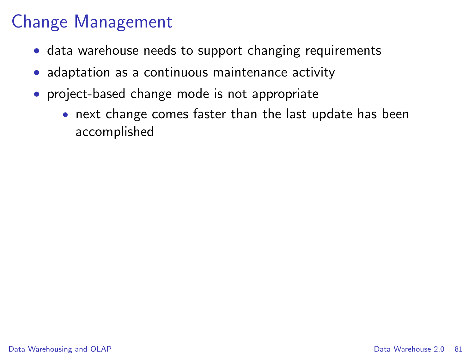## Change Management

- data warehouse needs to support changing requirements
- adaptation as a continuous maintenance activity
- project-based change mode is not appropriate
	- next change comes faster than the last update has been accomplished